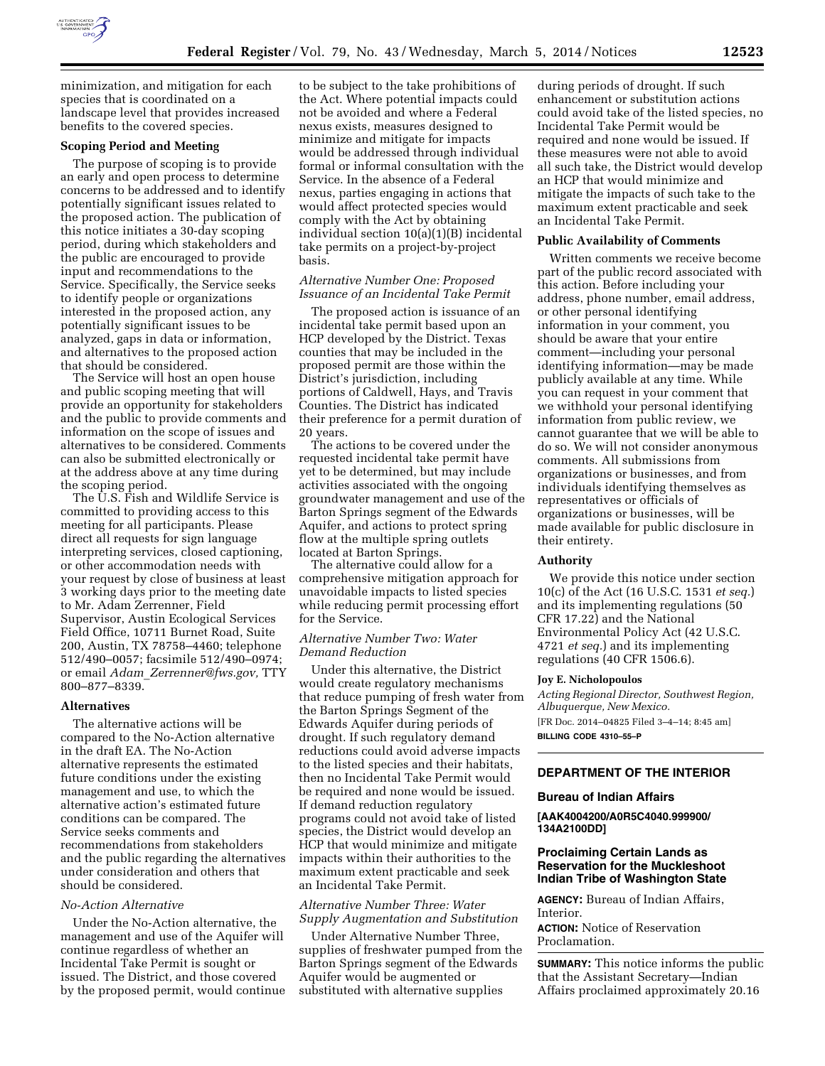

minimization, and mitigation for each species that is coordinated on a landscape level that provides increased benefits to the covered species.

### **Scoping Period and Meeting**

The purpose of scoping is to provide an early and open process to determine concerns to be addressed and to identify potentially significant issues related to the proposed action. The publication of this notice initiates a 30-day scoping period, during which stakeholders and the public are encouraged to provide input and recommendations to the Service. Specifically, the Service seeks to identify people or organizations interested in the proposed action, any potentially significant issues to be analyzed, gaps in data or information, and alternatives to the proposed action that should be considered.

The Service will host an open house and public scoping meeting that will provide an opportunity for stakeholders and the public to provide comments and information on the scope of issues and alternatives to be considered. Comments can also be submitted electronically or at the address above at any time during the scoping period.

The U.S. Fish and Wildlife Service is committed to providing access to this meeting for all participants. Please direct all requests for sign language interpreting services, closed captioning, or other accommodation needs with your request by close of business at least 3 working days prior to the meeting date to Mr. Adam Zerrenner, Field Supervisor, Austin Ecological Services Field Office, 10711 Burnet Road, Suite 200, Austin, TX 78758–4460; telephone 512/490–0057; facsimile 512/490–0974; or email *Adam*\_*[Zerrenner@fws.gov,](mailto:Adam_Zerrenner@fws.gov)* TTY 800–877–8339.

#### **Alternatives**

The alternative actions will be compared to the No-Action alternative in the draft EA. The No-Action alternative represents the estimated future conditions under the existing management and use, to which the alternative action's estimated future conditions can be compared. The Service seeks comments and recommendations from stakeholders and the public regarding the alternatives under consideration and others that should be considered.

### *No-Action Alternative*

Under the No-Action alternative, the management and use of the Aquifer will continue regardless of whether an Incidental Take Permit is sought or issued. The District, and those covered by the proposed permit, would continue

to be subject to the take prohibitions of the Act. Where potential impacts could not be avoided and where a Federal nexus exists, measures designed to minimize and mitigate for impacts would be addressed through individual formal or informal consultation with the Service. In the absence of a Federal nexus, parties engaging in actions that would affect protected species would comply with the Act by obtaining individual section 10(a)(1)(B) incidental take permits on a project-by-project basis.

### *Alternative Number One: Proposed Issuance of an Incidental Take Permit*

The proposed action is issuance of an incidental take permit based upon an HCP developed by the District. Texas counties that may be included in the proposed permit are those within the District's jurisdiction, including portions of Caldwell, Hays, and Travis Counties. The District has indicated their preference for a permit duration of 20 years.

The actions to be covered under the requested incidental take permit have yet to be determined, but may include activities associated with the ongoing groundwater management and use of the Barton Springs segment of the Edwards Aquifer, and actions to protect spring flow at the multiple spring outlets located at Barton Springs.

The alternative could allow for a comprehensive mitigation approach for unavoidable impacts to listed species while reducing permit processing effort for the Service.

### *Alternative Number Two: Water Demand Reduction*

Under this alternative, the District would create regulatory mechanisms that reduce pumping of fresh water from the Barton Springs Segment of the Edwards Aquifer during periods of drought. If such regulatory demand reductions could avoid adverse impacts to the listed species and their habitats, then no Incidental Take Permit would be required and none would be issued. If demand reduction regulatory programs could not avoid take of listed species, the District would develop an HCP that would minimize and mitigate impacts within their authorities to the maximum extent practicable and seek an Incidental Take Permit.

### *Alternative Number Three: Water Supply Augmentation and Substitution*

Under Alternative Number Three, supplies of freshwater pumped from the Barton Springs segment of the Edwards Aquifer would be augmented or substituted with alternative supplies

during periods of drought. If such enhancement or substitution actions could avoid take of the listed species, no Incidental Take Permit would be required and none would be issued. If these measures were not able to avoid all such take, the District would develop an HCP that would minimize and mitigate the impacts of such take to the maximum extent practicable and seek an Incidental Take Permit.

#### **Public Availability of Comments**

Written comments we receive become part of the public record associated with this action. Before including your address, phone number, email address, or other personal identifying information in your comment, you should be aware that your entire comment—including your personal identifying information—may be made publicly available at any time. While you can request in your comment that we withhold your personal identifying information from public review, we cannot guarantee that we will be able to do so. We will not consider anonymous comments. All submissions from organizations or businesses, and from individuals identifying themselves as representatives or officials of organizations or businesses, will be made available for public disclosure in their entirety.

### **Authority**

We provide this notice under section 10(c) of the Act (16 U.S.C. 1531 *et seq.*) and its implementing regulations (50 CFR 17.22) and the National Environmental Policy Act (42 U.S.C. 4721 *et seq.*) and its implementing regulations (40 CFR 1506.6).

#### **Joy E. Nicholopoulos**

*Acting Regional Director, Southwest Region, Albuquerque, New Mexico.*  [FR Doc. 2014–04825 Filed 3–4–14; 8:45 am] **BILLING CODE 4310–55–P** 

# **DEPARTMENT OF THE INTERIOR**

#### **Bureau of Indian Affairs**

**[AAK4004200/A0R5C4040.999900/ 134A2100DD]** 

### **Proclaiming Certain Lands as Reservation for the Muckleshoot Indian Tribe of Washington State**

**AGENCY:** Bureau of Indian Affairs, Interior.

**ACTION:** Notice of Reservation Proclamation.

**SUMMARY:** This notice informs the public that the Assistant Secretary—Indian Affairs proclaimed approximately 20.16